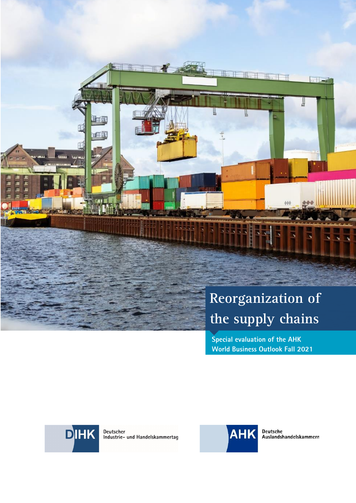

**Special evaluation of the AHK World Business Outlook Fall 2021** 

DIHK

Deutscher<br>Industrie- und Handelskammertag



Deutsche<br>Auslandshandelskammern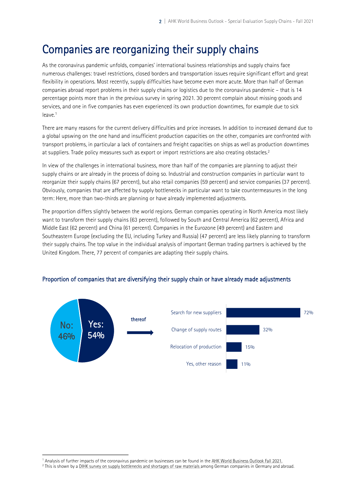# Companies are reorganizing their supply chains

As the coronavirus pandemic unfolds, companies' international business relationships and supply chains face numerous challenges: travel restrictions, closed borders and transportation issues require significant effort and great flexibility in operations. Most recently, supply difficulties have become even more acute. More than half of German companies abroad report problems in their supply chains or logistics due to the coronavirus pandemic – that is 14 percentage points more than in the previous survey in spring 2021. 30 percent complain about missing goods and services, and one in five companies has even experienced its own production downtimes, for example due to sick leave.[1](#page-1-0)

<span id="page-1-2"></span>There are many reasons for the current delivery difficulties and price increases. In addition to increased demand due to a global upswing on the one hand and insufficient production capacities on the other, companies are confronted with transport problems, in particular a lack of containers and freight capacities on ships as well as production downtimes at suppliers. Trade policy measures such as export or import restrictions are also creating obstacles.[2](#page-1-1)

<span id="page-1-3"></span>In view of the challenges in international business, more than half of the companies are planning to adjust their supply chains or are already in the process of doing so. Industrial and construction companies in particular want to reorganize their supply chains (67 percent), but also retail companies (59 percent) and service companies (37 percent). Obviously, companies that are affected by supply bottlenecks in particular want to take countermeasures in the long term: Here, more than two-thirds are planning or have already implemented adjustments.

The proportion differs slightly between the world regions. German companies operating in North America most likely want to transform their supply chains (63 percent), followed by South and Central America (62 percent), Africa and Middle East (62 percent) and China (61 percent). Companies in the Eurozone (49 percent) and Eastern and Southeastern Europe (excluding the EU, including Turkey and Russia) (47 percent) are less likely planning to transform their supply chains. The top value in the individual analysis of important German trading partners is achieved by the United Kingdom. There, 77 percent of companies are adapting their supply chains.



#### Proportion of companies that are diversifying their supply chain or have already made adjustments

<span id="page-1-0"></span><sup>&</sup>lt;sup>[1](#page-1-2)</sup> Analysis of further impacts of the coronavirus pandemic on businesses can be found in the AHK World Business Outlook Fall 2021.

<span id="page-1-1"></span><sup>&</sup>lt;sup>[2](#page-1-3)</sup> This is shown by a <u>DIHK survey on supply bottlenecks and shortages of raw materials a</u>mong German companies in Germany and abroad.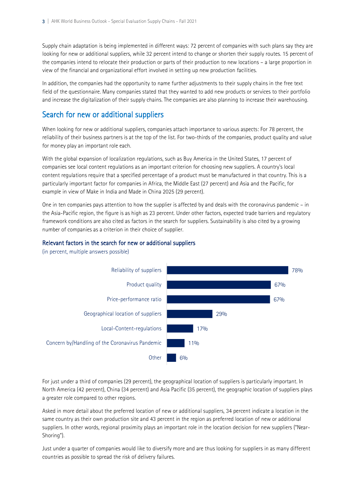Supply chain adaptation is being implemented in different ways: 72 percent of companies with such plans say they are looking for new or additional suppliers, while 32 percent intend to change or shorten their supply routes. 15 percent of the companies intend to relocate their production or parts of their production to new locations – a large proportion in view of the financial and organizational effort involved in setting up new production facilities.

In addition, the companies had the opportunity to name further adjustments to their supply chains in the free text field of the questionnaire. Many companies stated that they wanted to add new products or services to their portfolio and increase the digitalization of their supply chains. The companies are also planning to increase their warehousing.

## Search for new or additional suppliers

When looking for new or additional suppliers, companies attach importance to various aspects: For 78 percent, the reliability of their business partners is at the top of the list. For two-thirds of the companies, product quality and value for money play an important role each.

With the global expansion of localization regulations, such as Buy America in the United States, 17 percent of companies see local content regulations as an important criterion for choosing new suppliers. A country's local content regulations require that a specified percentage of a product must be manufactured in that country. This is a particularly important factor for companies in Africa, the Middle East (27 percent) and Asia and the Pacific, for example in view of Make in India and Made in China 2025 (29 percent).

One in ten companies pays attention to how the supplier is affected by and deals with the coronavirus pandemic – in the Asia-Pacific region, the figure is as high as 23 percent. Under other factors, expected trade barriers and regulatory framework conditions are also cited as factors in the search for suppliers. Sustainability is also cited by a growing number of companies as a criterion in their choice of supplier.

#### Relevant factors in the search for new or additional suppliers



(in percent, multiple answers possible)

For just under a third of companies (29 percent), the geographical location of suppliers is particularly important. In North America (42 percent), China (34 percent) and Asia Pacific (35 percent), the geographic location of suppliers plays a greater role compared to other regions.

Asked in more detail about the preferred location of new or additional suppliers, 34 percent indicate a location in the same country as their own production site and 43 percent in the region as preferred location of new or additional suppliers. In other words, regional proximity plays an important role in the location decision for new suppliers ("Near-Shoring").

Just under a quarter of companies would like to diversify more and are thus looking for suppliers in as many different countries as possible to spread the risk of delivery failures.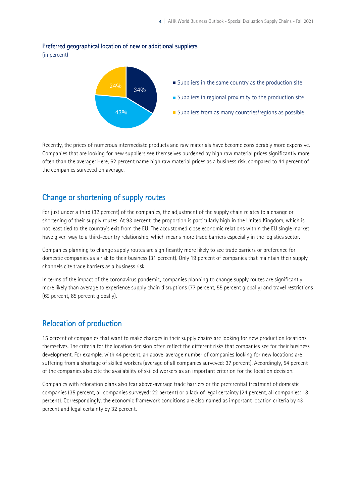#### Preferred geographical location of new or additional suppliers

(in percent)



Recently, the prices of numerous intermediate products and raw materials have become considerably more expensive. Companies that are looking for new suppliers see themselves burdened by high raw material prices significantly more often than the average: Here, 62 percent name high raw material prices as a business risk, compared to 44 percent of the companies surveyed on average.

### Change or shortening of supply routes

For just under a third (32 percent) of the companies, the adjustment of the supply chain relates to a change or shortening of their supply routes. At 93 percent, the proportion is particularly high in the United Kingdom, which is not least tied to the country's exit from the EU. The accustomed close economic relations within the EU single market have given way to a third-country relationship, which means more trade barriers especially in the logistics sector.

Companies planning to change supply routes are significantly more likely to see trade barriers or preference for domestic companies as a risk to their business (31 percent). Only 19 percent of companies that maintain their supply channels cite trade barriers as a business risk.

In terms of the impact of the coronavirus pandemic, companies planning to change supply routes are significantly more likely than average to experience supply chain disruptions (77 percent, 55 percent globally) and travel restrictions (69 percent, 65 percent globally).

### Relocation of production

15 percent of companies that want to make changes in their supply chains are looking for new production locations themselves. The criteria for the location decision often reflect the different risks that companies see for their business development. For example, with 44 percent, an above-average number of companies looking for new locations are suffering from a shortage of skilled workers (average of all companies surveyed: 37 percent). Accordingly, 54 percent of the companies also cite the availability of skilled workers as an important criterion for the location decision.

Companies with relocation plans also fear above-average trade barriers or the preferential treatment of domestic companies (35 percent, all companies surveyed: 22 percent) or a lack of legal certainty (24 percent, all companies: 18 percent). Correspondingly, the economic framework conditions are also named as important location criteria by 43 percent and legal certainty by 32 percent.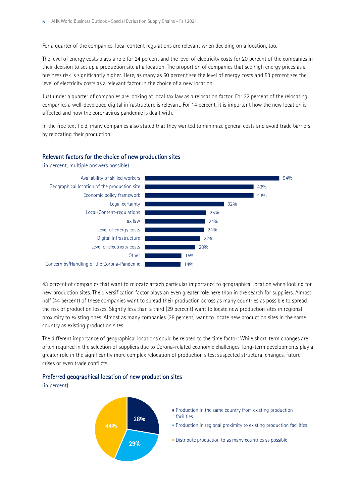For a quarter of the companies, local content regulations are relevant when deciding on a location, too.

The level of energy costs plays a role for 24 percent and the level of electricity costs for 20 percent of the companies in their decision to set up a production site at a location. The proportion of companies that see high energy prices as a business risk is significantly higher. Here, as many as 60 percent see the level of energy costs and 53 percent see the level of electricity costs as a relevant factor in the choice of a new location.

Just under a quarter of companies are looking at local tax law as a relocation factor. For 22 percent of the relocating companies a well-developed digital infrastructure is relevant. For 14 percent, it is important how the new location is affected and how the coronavirus pandemic is dealt with.

In the free text field, many companies also stated that they wanted to minimize general costs and avoid trade barriers by relocating their production.

#### Relevant factors for the choice of new production sites



43 percent of companies that want to relocate attach particular importance to geographical location when looking for new production sites. The diversification factor plays an even greater role here than in the search for suppliers. Almost half (44 percent) of these companies want to spread their production across as many countries as possible to spread the risk of production losses. Slightly less than a third (29 percent) want to locate new production sites in regional proximity to existing ones. Almost as many companies (28 percent) want to locate new production sites in the same country as existing production sites.

The different importance of geographical locations could be related to the time factor: While short-term changes are often required in the selection of suppliers due to Corona-related economic challenges, long-term developments play a greater role in the significantly more complex relocation of production sites: suspected structural changes, future crises or even trade conflicts.

#### Preferred geographical location of new production sites

(in percent)